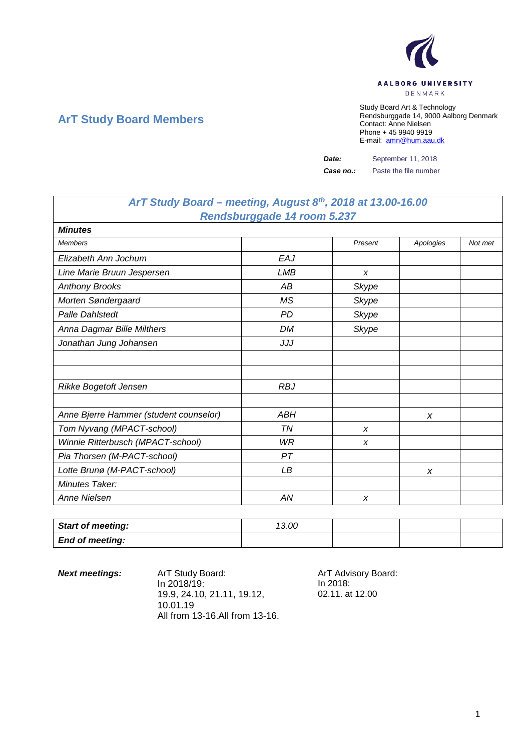

## **ArT Study Board Members**

Study Board Art & Technology Rendsburggade 14, 9000 Aalborg Denmark Contact: Anne Nielsen Phone + 45 9940 9919 E-mail: [amn@hum.aau.dk](mailto:amn@hum.aau.dk)

*Date:* September 11, 2018

*Case no.:* Paste the file number

## *ArT Study Board – meeting, August 8th, 2018 at 13.00-16.00 Rendsburggade 14 room 5.237*

| <b>Minutes</b>                         |            |              |           |         |
|----------------------------------------|------------|--------------|-----------|---------|
| <b>Members</b>                         |            | Present      | Apologies | Not met |
| Elizabeth Ann Jochum                   | EAJ        |              |           |         |
| Line Marie Bruun Jespersen             | <b>LMB</b> | X            |           |         |
| <b>Anthony Brooks</b>                  | АB         | Skype        |           |         |
| Morten Søndergaard                     | ΜS         | <b>Skype</b> |           |         |
| Palle Dahlstedt                        | <b>PD</b>  | <b>Skype</b> |           |         |
| Anna Dagmar Bille Milthers             | <b>DM</b>  | <b>Skype</b> |           |         |
| Jonathan Jung Johansen                 | JJJ        |              |           |         |
|                                        |            |              |           |         |
|                                        |            |              |           |         |
| Rikke Bogetoft Jensen                  | <b>RBJ</b> |              |           |         |
|                                        |            |              |           |         |
| Anne Bjerre Hammer (student counselor) | <b>ABH</b> |              | X         |         |
| Tom Nyvang (MPACT-school)              | ΤN         | X            |           |         |
| Winnie Ritterbusch (MPACT-school)      | WR         | X            |           |         |
| Pia Thorsen (M-PACT-school)            | PT         |              |           |         |
| Lotte Brunø (M-PACT-school)            | LB         |              | X         |         |
| Minutes Taker:                         |            |              |           |         |
| Anne Nielsen                           | AN         | X            |           |         |

| <b>Start of meeting:</b> | 13.00 |  |  |
|--------------------------|-------|--|--|
| <b>End of meeting:</b>   |       |  |  |

**Next meetings:** ArT Study Board: ArT Advisory Board: In 2018/19: 19.9, 24.10, 21.11, 19.12, 10.01.19 All from 13-16.All from 13-16.

In 2018: 02.11. at 12.00